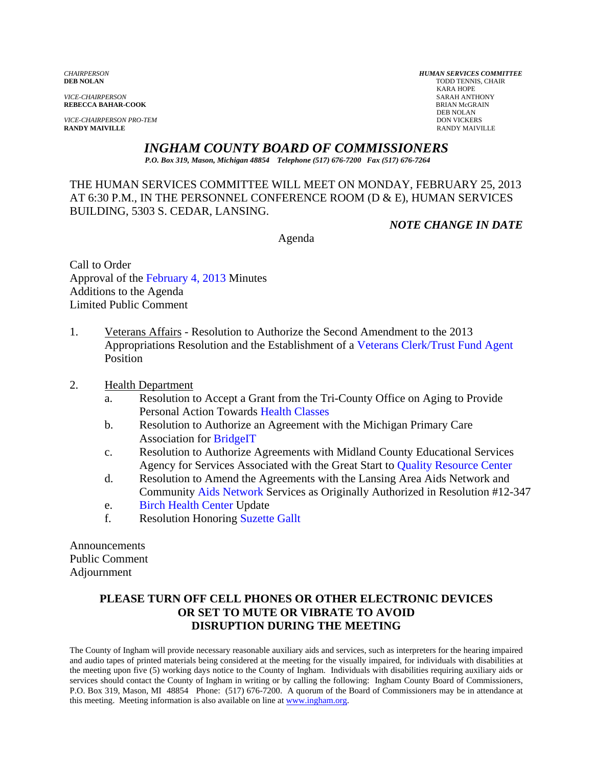*VICE-CHAIRPERSON* SARAH ANTHONY

*VICE-CHAIRPERSON PRO-TEM* DON VICKERS **RANDY MAIVILLE** RANDY MAIVILLE

*CHAIRPERSON HUMAN SERVICES COMMITTEE* TODD TENNIS, CHAIR<br>KARA HOPE KARA HOPE **REBECCA BAHAR-COOK**<br>BRIAN McGR<br>DEB NOLAN DEB NOLAN

*INGHAM COUNTY BOARD OF COMMISSIONERS* 

*P.O. Box 319, Mason, Michigan 48854 Telephone (517) 676-7200 Fax (517) 676-7264*

THE HUMAN SERVICES COMMITTEE WILL MEET ON MONDAY, FEBRUARY 25, 2013 AT 6:30 P.M., IN THE PERSONNEL CONFERENCE ROOM (D & E), HUMAN SERVICES BUILDING, 5303 S. CEDAR, LANSING.

*NOTE CHANGE IN DATE* 

Agenda

Call to Order Approval of [the February 4, 2013 Minutes](#page-1-0)  Additions to the Agenda Limited Public Comment

- 1. Veterans Affairs Resolution to Authorize the Second Amendment to the 2013 Appropriations Resolution and the Establishment [of a Veterans Clerk/Trust Fund Agent](#page-6-0)  Position
- 2. Health Department
	- a. Resolution to Accept a [Grant from the Tri-County Offic](#page-8-0)e on Aging to Provide Personal Action Towards Health Classes
	- b. Resolution to Authorize an Agreement with the Michigan Primary Care Association for BridgeIT
	- c. Resolution t[o Authorize Agreemen](#page-11-0)ts with Midland County Educational Services Agency for Services Associated with the Great Start [to Quality Resource Center](#page-13-0)
	- d. Resolution to Amend the Agreements with the Lansing Area Aids Network and Community [Aids Network Services as Orig](#page-15-0)inally Authorized in Resolution #12-347
	- e. [Birch Health Cente](#page-19-0)r Update
	- f. Resolution Honoring [Suzette Gallt](#page-20-0)

Announcements Public Comment Adjournment

# **PLEASE TURN OFF CELL PHONES OR OTHER ELECTRONIC DEVICES OR SET TO MUTE OR VIBRATE TO AVOID DISRUPTION DURING THE MEETING**

The County of Ingham will provide necessary reasonable auxiliary aids and services, such as interpreters for the hearing impaired and audio tapes of printed materials being considered at the meeting for the visually impaired, for individuals with disabilities at the meeting upon five (5) working days notice to the County of Ingham. Individuals with disabilities requiring auxiliary aids or services should contact the County of Ingham in writing or by calling the following: Ingham County Board of Commissioners, P.O. Box 319, Mason, MI 48854 Phone: (517) 676-7200. A quorum of the Board of Commissioners may be in attendance at this meeting. Meeting information is also available on line at www.ingham.org.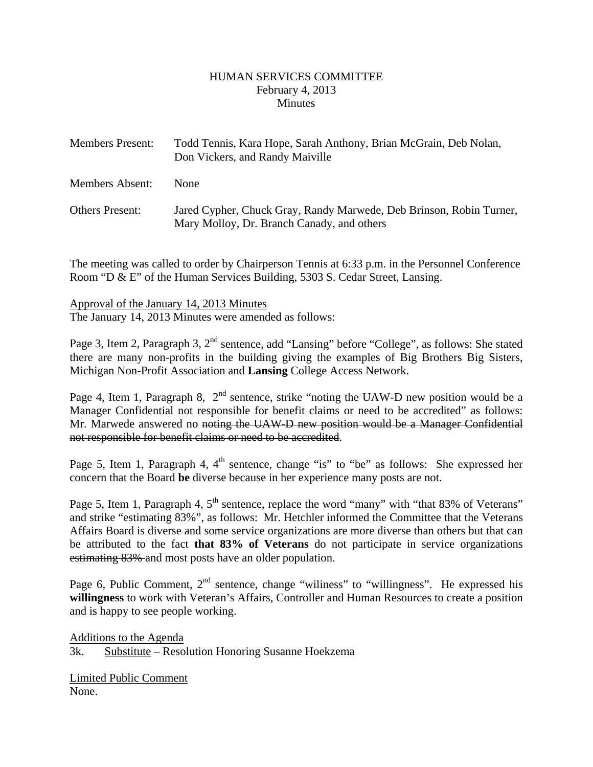### HUMAN SERVICES COMMITTEE February 4, 2013 **Minutes**

<span id="page-1-0"></span>

| <b>Members Present:</b> | Todd Tennis, Kara Hope, Sarah Anthony, Brian McGrain, Deb Nolan,<br>Don Vickers, and Randy Maiville               |
|-------------------------|-------------------------------------------------------------------------------------------------------------------|
| Members Absent:         | <b>None</b>                                                                                                       |
| <b>Others Present:</b>  | Jared Cypher, Chuck Gray, Randy Marwede, Deb Brinson, Robin Turner,<br>Mary Molloy, Dr. Branch Canady, and others |

The meeting was called to order by Chairperson Tennis at 6:33 p.m. in the Personnel Conference Room "D & E" of the Human Services Building, 5303 S. Cedar Street, Lansing.

Approval of the January 14, 2013 Minutes

The January 14, 2013 Minutes were amended as follows:

Page 3, Item 2, Paragraph 3, 2<sup>nd</sup> sentence, add "Lansing" before "College", as follows: She stated there are many non-profits in the building giving the examples of Big Brothers Big Sisters, Michigan Non-Profit Association and **Lansing** College Access Network.

Page 4, Item 1, Paragraph 8,  $2<sup>nd</sup>$  sentence, strike "noting the UAW-D new position would be a Manager Confidential not responsible for benefit claims or need to be accredited" as follows: Mr. Marwede answered no noting the UAW-D new position would be a Manager Confidential not responsible for benefit claims or need to be accredited.

Page 5, Item 1, Paragraph 4, 4<sup>th</sup> sentence, change "is" to "be" as follows: She expressed her concern that the Board **be** diverse because in her experience many posts are not.

Page 5, Item 1, Paragraph 4,  $5<sup>th</sup>$  sentence, replace the word "many" with "that 83% of Veterans" and strike "estimating 83%", as follows: Mr. Hetchler informed the Committee that the Veterans Affairs Board is diverse and some service organizations are more diverse than others but that can be attributed to the fact **that 83% of Veterans** do not participate in service organizations estimating 83% and most posts have an older population.

Page 6, Public Comment,  $2<sup>nd</sup>$  sentence, change "williness" to "willingness". He expressed his **willingness** to work with Veteran's Affairs, Controller and Human Resources to create a position and is happy to see people working.

Additions to the Agenda 3k. Substitute – Resolution Honoring Susanne Hoekzema

Limited Public Comment None.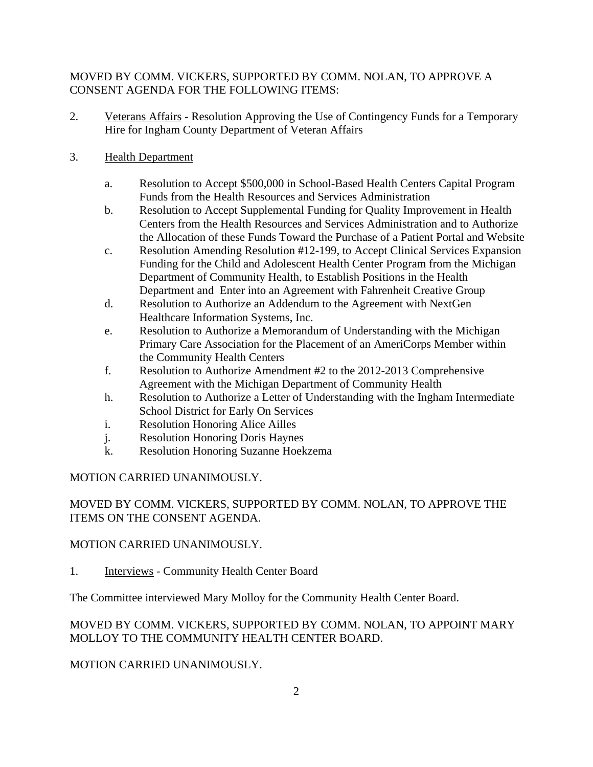MOVED BY COMM. VICKERS, SUPPORTED BY COMM. NOLAN, TO APPROVE A CONSENT AGENDA FOR THE FOLLOWING ITEMS:

- 2. Veterans Affairs Resolution Approving the Use of Contingency Funds for a Temporary Hire for Ingham County Department of Veteran Affairs
- 3. Health Department
	- a. Resolution to Accept \$500,000 in School-Based Health Centers Capital Program Funds from the Health Resources and Services Administration
	- b. Resolution to Accept Supplemental Funding for Quality Improvement in Health Centers from the Health Resources and Services Administration and to Authorize the Allocation of these Funds Toward the Purchase of a Patient Portal and Website
	- c. Resolution Amending Resolution #12-199, to Accept Clinical Services Expansion Funding for the Child and Adolescent Health Center Program from the Michigan Department of Community Health, to Establish Positions in the Health Department and Enter into an Agreement with Fahrenheit Creative Group
	- d. Resolution to Authorize an Addendum to the Agreement with NextGen Healthcare Information Systems, Inc.
	- e. Resolution to Authorize a Memorandum of Understanding with the Michigan Primary Care Association for the Placement of an AmeriCorps Member within the Community Health Centers
	- f. Resolution to Authorize Amendment #2 to the 2012-2013 Comprehensive Agreement with the Michigan Department of Community Health
	- h. Resolution to Authorize a Letter of Understanding with the Ingham Intermediate School District for Early On Services
	- i. Resolution Honoring Alice Ailles
	- j. Resolution Honoring Doris Haynes
	- k. Resolution Honoring Suzanne Hoekzema

# MOTION CARRIED UNANIMOUSLY.

### MOVED BY COMM. VICKERS, SUPPORTED BY COMM. NOLAN, TO APPROVE THE ITEMS ON THE CONSENT AGENDA.

### MOTION CARRIED UNANIMOUSLY.

1. **Interviews - Community Health Center Board** 

The Committee interviewed Mary Molloy for the Community Health Center Board.

# MOVED BY COMM. VICKERS, SUPPORTED BY COMM. NOLAN, TO APPOINT MARY MOLLOY TO THE COMMUNITY HEALTH CENTER BOARD.

# MOTION CARRIED UNANIMOUSLY.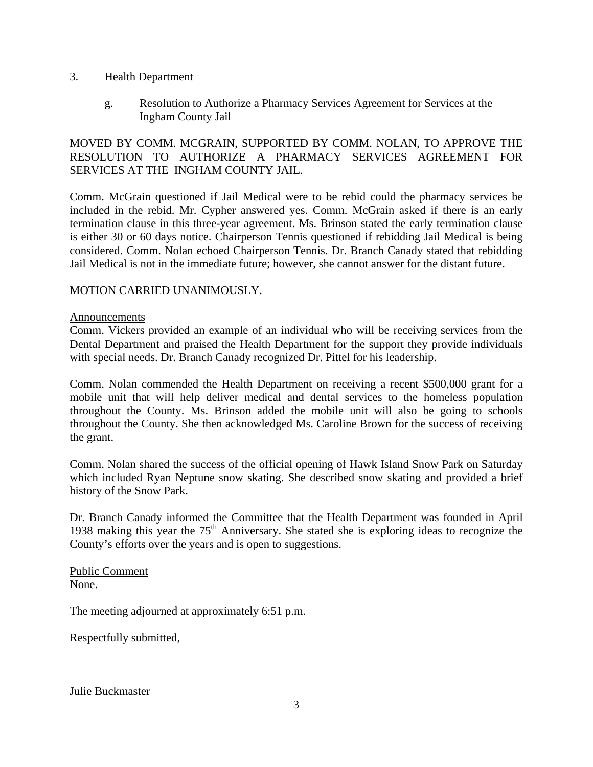### 3. Health Department

 g. Resolution to Authorize a Pharmacy Services Agreement for Services at the Ingham County Jail

# MOVED BY COMM. MCGRAIN, SUPPORTED BY COMM. NOLAN, TO APPROVE THE RESOLUTION TO AUTHORIZE A PHARMACY SERVICES AGREEMENT FOR SERVICES AT THE INGHAM COUNTY JAIL.

Comm. McGrain questioned if Jail Medical were to be rebid could the pharmacy services be included in the rebid. Mr. Cypher answered yes. Comm. McGrain asked if there is an early termination clause in this three-year agreement. Ms. Brinson stated the early termination clause is either 30 or 60 days notice. Chairperson Tennis questioned if rebidding Jail Medical is being considered. Comm. Nolan echoed Chairperson Tennis. Dr. Branch Canady stated that rebidding Jail Medical is not in the immediate future; however, she cannot answer for the distant future.

### MOTION CARRIED UNANIMOUSLY.

### Announcements

Comm. Vickers provided an example of an individual who will be receiving services from the Dental Department and praised the Health Department for the support they provide individuals with special needs. Dr. Branch Canady recognized Dr. Pittel for his leadership.

Comm. Nolan commended the Health Department on receiving a recent \$500,000 grant for a mobile unit that will help deliver medical and dental services to the homeless population throughout the County. Ms. Brinson added the mobile unit will also be going to schools throughout the County. She then acknowledged Ms. Caroline Brown for the success of receiving the grant.

Comm. Nolan shared the success of the official opening of Hawk Island Snow Park on Saturday which included Ryan Neptune snow skating. She described snow skating and provided a brief history of the Snow Park.

Dr. Branch Canady informed the Committee that the Health Department was founded in April 1938 making this year the 75th Anniversary. She stated she is exploring ideas to recognize the County's efforts over the years and is open to suggestions.

Public Comment None.

The meeting adjourned at approximately 6:51 p.m.

Respectfully submitted,

Julie Buckmaster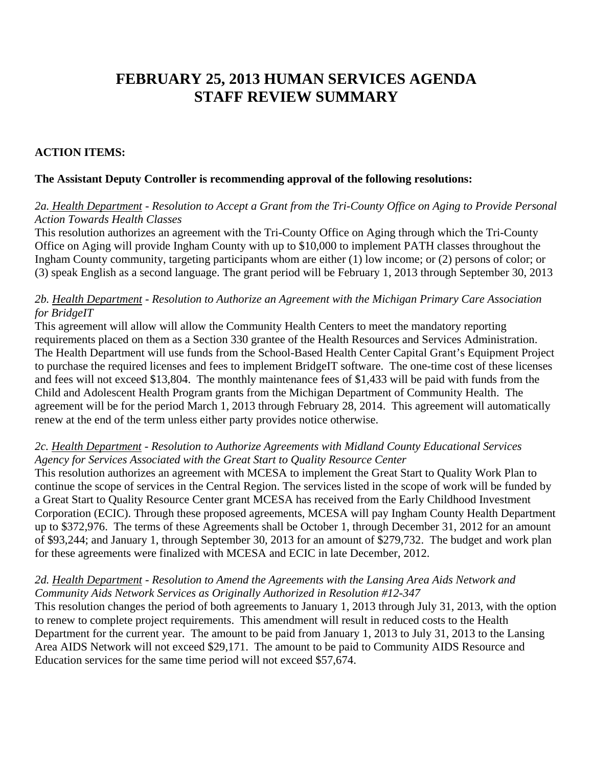# **FEBRUARY 25, 2013 HUMAN SERVICES AGENDA STAFF REVIEW SUMMARY**

# **ACTION ITEMS:**

### **The Assistant Deputy Controller is recommending approval of the following resolutions:**

### 2a. Health Department - Resolution to Accept a Grant from the Tri-County Office on Aging to Provide Personal *Action Towards Health Classes*

This resolution authorizes an agreement with the Tri-County Office on Aging through which the Tri-County Office on Aging will provide Ingham County with up to \$10,000 to implement PATH classes throughout the Ingham County community, targeting participants whom are either (1) low income; or (2) persons of color; or (3) speak English as a second language. The grant period will be February 1, 2013 through September 30, 2013

### *2b. Health Department - Resolution to Authorize an Agreement with the Michigan Primary Care Association for BridgeIT*

This agreement will allow will allow the Community Health Centers to meet the mandatory reporting requirements placed on them as a Section 330 grantee of the Health Resources and Services Administration. The Health Department will use funds from the School-Based Health Center Capital Grant's Equipment Project to purchase the required licenses and fees to implement BridgeIT software. The one-time cost of these licenses and fees will not exceed \$13,804. The monthly maintenance fees of \$1,433 will be paid with funds from the Child and Adolescent Health Program grants from the Michigan Department of Community Health. The agreement will be for the period March 1, 2013 through February 28, 2014. This agreement will automatically renew at the end of the term unless either party provides notice otherwise.

### *2c. Health Department - Resolution to Authorize Agreements with Midland County Educational Services Agency for Services Associated with the Great Start to Quality Resource Center*

This resolution authorizes an agreement with MCESA to implement the Great Start to Quality Work Plan to continue the scope of services in the Central Region. The services listed in the scope of work will be funded by a Great Start to Quality Resource Center grant MCESA has received from the Early Childhood Investment Corporation (ECIC). Through these proposed agreements, MCESA will pay Ingham County Health Department up to \$372,976. The terms of these Agreements shall be October 1, through December 31, 2012 for an amount of \$93,244; and January 1, through September 30, 2013 for an amount of \$279,732. The budget and work plan for these agreements were finalized with MCESA and ECIC in late December, 2012.

### *2d. Health Department - Resolution to Amend the Agreements with the Lansing Area Aids Network and Community Aids Network Services as Originally Authorized in Resolution #12-347*

This resolution changes the period of both agreements to January 1, 2013 through July 31, 2013, with the option to renew to complete project requirements. This amendment will result in reduced costs to the Health Department for the current year. The amount to be paid from January 1, 2013 to July 31, 2013 to the Lansing Area AIDS Network will not exceed \$29,171. The amount to be paid to Community AIDS Resource and Education services for the same time period will not exceed \$57,674.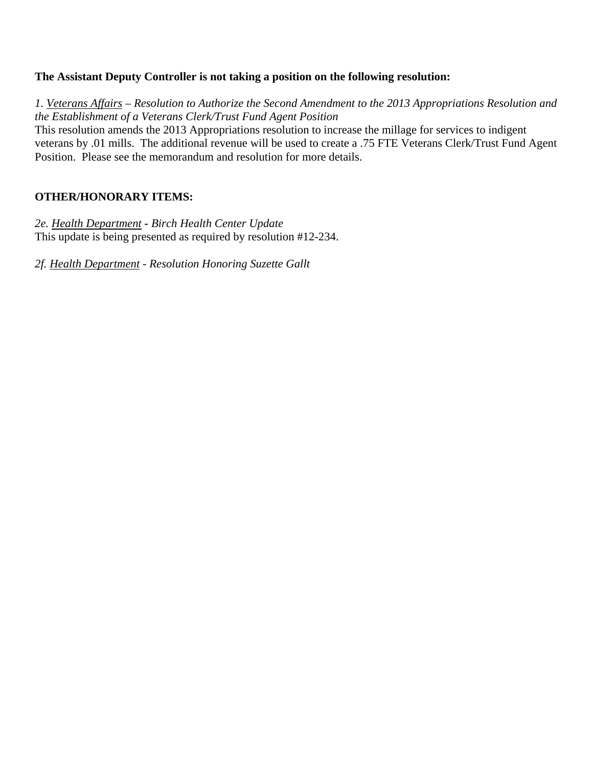# **The Assistant Deputy Controller is not taking a position on the following resolution:**

*1. Veterans Affairs – Resolution to Authorize the Second Amendment to the 2013 Appropriations Resolution and the Establishment of a Veterans Clerk/Trust Fund Agent Position* 

This resolution amends the 2013 Appropriations resolution to increase the millage for services to indigent veterans by .01 mills. The additional revenue will be used to create a .75 FTE Veterans Clerk/Trust Fund Agent Position. Please see the memorandum and resolution for more details.

# **OTHER/HONORARY ITEMS:**

*2e. Health Department - Birch Health Center Update*  This update is being presented as required by resolution #12-234.

*2f. Health Department - Resolution Honoring Suzette Gallt*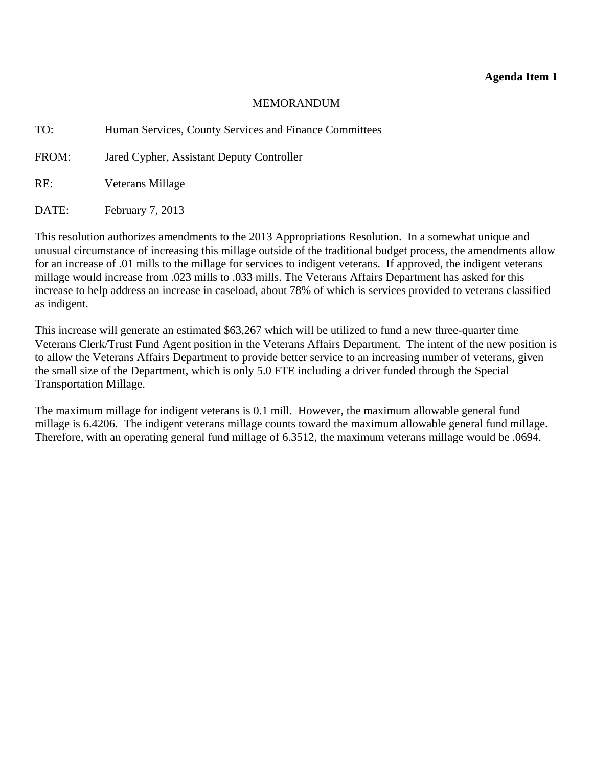### **Agenda Item 1**

### MEMORANDUM

<span id="page-6-0"></span>

| TO:   | Human Services, County Services and Finance Committees |
|-------|--------------------------------------------------------|
| FROM: | Jared Cypher, Assistant Deputy Controller              |

RE: Veterans Millage

DATE: February 7, 2013

This resolution authorizes amendments to the 2013 Appropriations Resolution. In a somewhat unique and unusual circumstance of increasing this millage outside of the traditional budget process, the amendments allow for an increase of .01 mills to the millage for services to indigent veterans. If approved, the indigent veterans millage would increase from .023 mills to .033 mills. The Veterans Affairs Department has asked for this increase to help address an increase in caseload, about 78% of which is services provided to veterans classified as indigent.

This increase will generate an estimated \$63,267 which will be utilized to fund a new three-quarter time Veterans Clerk/Trust Fund Agent position in the Veterans Affairs Department. The intent of the new position is to allow the Veterans Affairs Department to provide better service to an increasing number of veterans, given the small size of the Department, which is only 5.0 FTE including a driver funded through the Special Transportation Millage.

The maximum millage for indigent veterans is 0.1 mill. However, the maximum allowable general fund millage is 6.4206. The indigent veterans millage counts toward the maximum allowable general fund millage. Therefore, with an operating general fund millage of 6.3512, the maximum veterans millage would be .0694.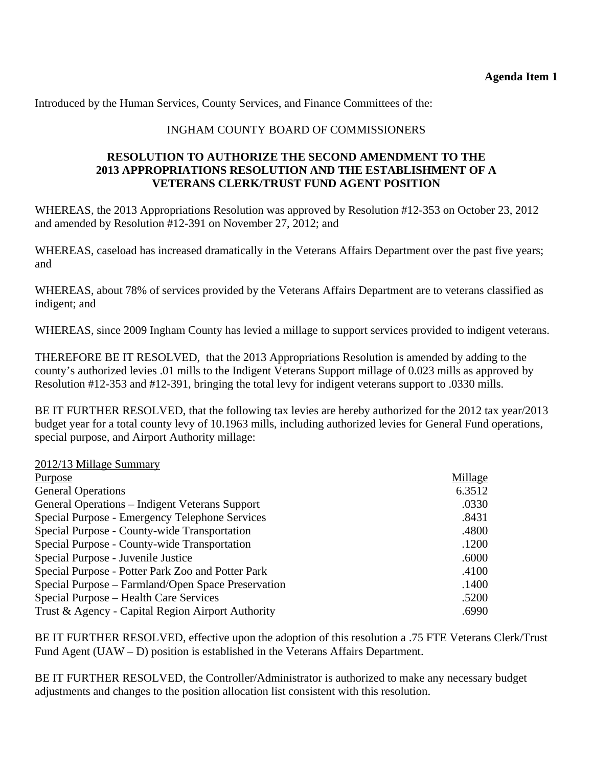Introduced by the Human Services, County Services, and Finance Committees of the:

# INGHAM COUNTY BOARD OF COMMISSIONERS

### **RESOLUTION TO AUTHORIZE THE SECOND AMENDMENT TO THE 2013 APPROPRIATIONS RESOLUTION AND THE ESTABLISHMENT OF A VETERANS CLERK/TRUST FUND AGENT POSITION**

WHEREAS, the 2013 Appropriations Resolution was approved by Resolution #12-353 on October 23, 2012 and amended by Resolution #12-391 on November 27, 2012; and

WHEREAS, caseload has increased dramatically in the Veterans Affairs Department over the past five years; and

WHEREAS, about 78% of services provided by the Veterans Affairs Department are to veterans classified as indigent; and

WHEREAS, since 2009 Ingham County has levied a millage to support services provided to indigent veterans.

THEREFORE BE IT RESOLVED, that the 2013 Appropriations Resolution is amended by adding to the county's authorized levies .01 mills to the Indigent Veterans Support millage of 0.023 mills as approved by Resolution #12-353 and #12-391, bringing the total levy for indigent veterans support to .0330 mills.

BE IT FURTHER RESOLVED, that the following tax levies are hereby authorized for the 2012 tax year/2013 budget year for a total county levy of 10.1963 mills, including authorized levies for General Fund operations, special purpose, and Airport Authority millage:

| 2012/13 Millage Summary                            |         |
|----------------------------------------------------|---------|
| Purpose                                            | Millage |
| <b>General Operations</b>                          | 6.3512  |
| General Operations – Indigent Veterans Support     | .0330   |
| Special Purpose - Emergency Telephone Services     | .8431   |
| Special Purpose - County-wide Transportation       | .4800   |
| Special Purpose - County-wide Transportation       | .1200   |
| Special Purpose - Juvenile Justice                 | .6000   |
| Special Purpose - Potter Park Zoo and Potter Park  | .4100   |
| Special Purpose – Farmland/Open Space Preservation | .1400   |
| Special Purpose – Health Care Services             | .5200   |
| Trust & Agency - Capital Region Airport Authority  | .6990   |

BE IT FURTHER RESOLVED, effective upon the adoption of this resolution a .75 FTE Veterans Clerk/Trust Fund Agent (UAW – D) position is established in the Veterans Affairs Department.

BE IT FURTHER RESOLVED, the Controller/Administrator is authorized to make any necessary budget adjustments and changes to the position allocation list consistent with this resolution.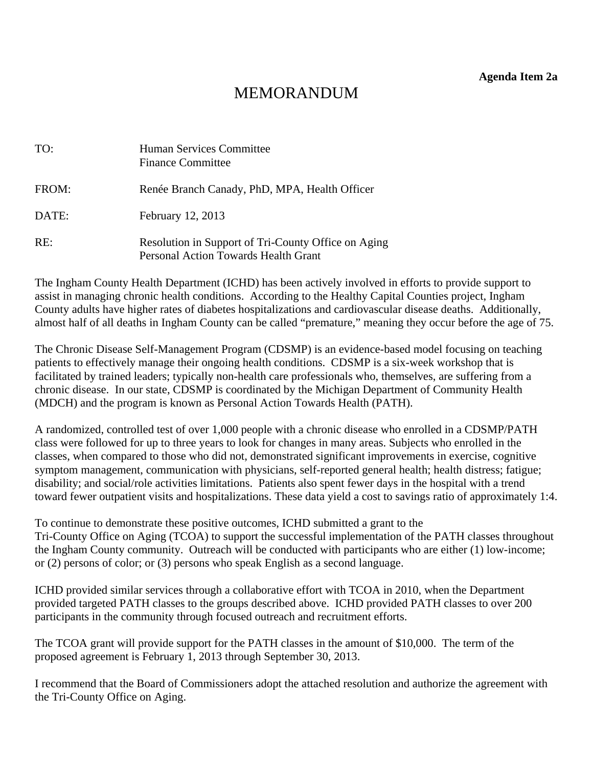**Agenda Item 2a** 

# MEMORANDUM

<span id="page-8-0"></span>

| TO:   | <b>Human Services Committee</b><br><b>Finance Committee</b>                                        |
|-------|----------------------------------------------------------------------------------------------------|
| FROM: | Renée Branch Canady, PhD, MPA, Health Officer                                                      |
| DATE: | February 12, 2013                                                                                  |
| RE:   | Resolution in Support of Tri-County Office on Aging<br><b>Personal Action Towards Health Grant</b> |

The Ingham County Health Department (ICHD) has been actively involved in efforts to provide support to assist in managing chronic health conditions. According to the Healthy Capital Counties project, Ingham County adults have higher rates of diabetes hospitalizations and cardiovascular disease deaths. Additionally, almost half of all deaths in Ingham County can be called "premature," meaning they occur before the age of 75.

The Chronic Disease Self-Management Program (CDSMP) is an evidence-based model focusing on teaching patients to effectively manage their ongoing health conditions. CDSMP is a six-week workshop that is facilitated by trained leaders; typically non-health care professionals who, themselves, are suffering from a chronic disease. In our state, CDSMP is coordinated by the Michigan Department of Community Health (MDCH) and the program is known as Personal Action Towards Health (PATH).

A randomized, controlled test of over 1,000 people with a chronic disease who enrolled in a CDSMP/PATH class were followed for up to three years to look for changes in many areas. Subjects who enrolled in the classes, when compared to those who did not, demonstrated significant improvements in exercise, cognitive symptom management, communication with physicians, self-reported general health; health distress; fatigue; disability; and social/role activities limitations. Patients also spent fewer days in the hospital with a trend toward fewer outpatient visits and hospitalizations. These data yield a cost to savings ratio of approximately 1:4.

To continue to demonstrate these positive outcomes, ICHD submitted a grant to the Tri-County Office on Aging (TCOA) to support the successful implementation of the PATH classes throughout the Ingham County community. Outreach will be conducted with participants who are either (1) low-income; or (2) persons of color; or (3) persons who speak English as a second language.

ICHD provided similar services through a collaborative effort with TCOA in 2010, when the Department provided targeted PATH classes to the groups described above. ICHD provided PATH classes to over 200 participants in the community through focused outreach and recruitment efforts.

The TCOA grant will provide support for the PATH classes in the amount of \$10,000. The term of the proposed agreement is February 1, 2013 through September 30, 2013.

I recommend that the Board of Commissioners adopt the attached resolution and authorize the agreement with the Tri-County Office on Aging.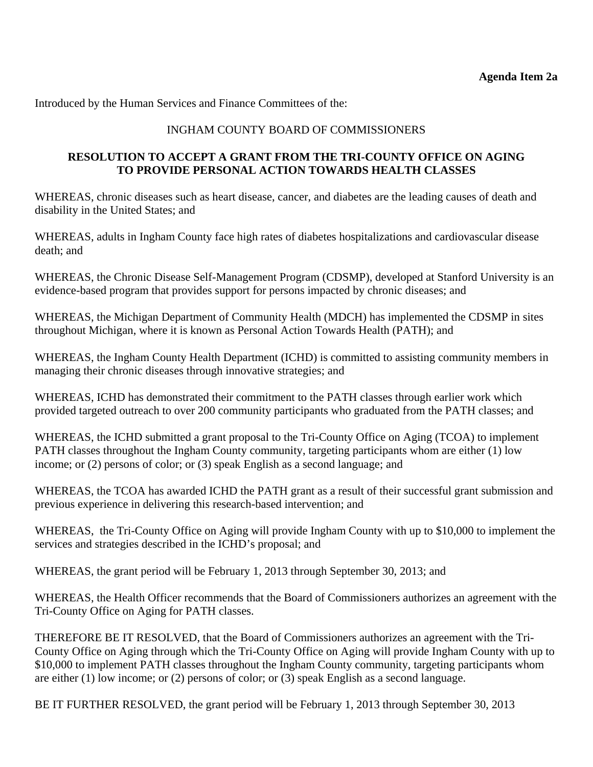Introduced by the Human Services and Finance Committees of the:

# INGHAM COUNTY BOARD OF COMMISSIONERS

# **RESOLUTION TO ACCEPT A GRANT FROM THE TRI-COUNTY OFFICE ON AGING TO PROVIDE PERSONAL ACTION TOWARDS HEALTH CLASSES**

WHEREAS, chronic diseases such as heart disease, cancer, and diabetes are the leading causes of death and disability in the United States; and

WHEREAS, adults in Ingham County face high rates of diabetes hospitalizations and cardiovascular disease death; and

WHEREAS, the Chronic Disease Self-Management Program (CDSMP), developed at Stanford University is an evidence-based program that provides support for persons impacted by chronic diseases; and

WHEREAS, the Michigan Department of Community Health (MDCH) has implemented the CDSMP in sites throughout Michigan, where it is known as Personal Action Towards Health (PATH); and

WHEREAS, the Ingham County Health Department (ICHD) is committed to assisting community members in managing their chronic diseases through innovative strategies; and

WHEREAS, ICHD has demonstrated their commitment to the PATH classes through earlier work which provided targeted outreach to over 200 community participants who graduated from the PATH classes; and

WHEREAS, the ICHD submitted a grant proposal to the Tri-County Office on Aging (TCOA) to implement PATH classes throughout the Ingham County community, targeting participants whom are either (1) low income; or (2) persons of color; or (3) speak English as a second language; and

WHEREAS, the TCOA has awarded ICHD the PATH grant as a result of their successful grant submission and previous experience in delivering this research-based intervention; and

WHEREAS, the Tri-County Office on Aging will provide Ingham County with up to \$10,000 to implement the services and strategies described in the ICHD's proposal; and

WHEREAS, the grant period will be February 1, 2013 through September 30, 2013; and

WHEREAS, the Health Officer recommends that the Board of Commissioners authorizes an agreement with the Tri-County Office on Aging for PATH classes.

THEREFORE BE IT RESOLVED, that the Board of Commissioners authorizes an agreement with the Tri-County Office on Aging through which the Tri-County Office on Aging will provide Ingham County with up to \$10,000 to implement PATH classes throughout the Ingham County community, targeting participants whom are either (1) low income; or (2) persons of color; or (3) speak English as a second language.

BE IT FURTHER RESOLVED, the grant period will be February 1, 2013 through September 30, 2013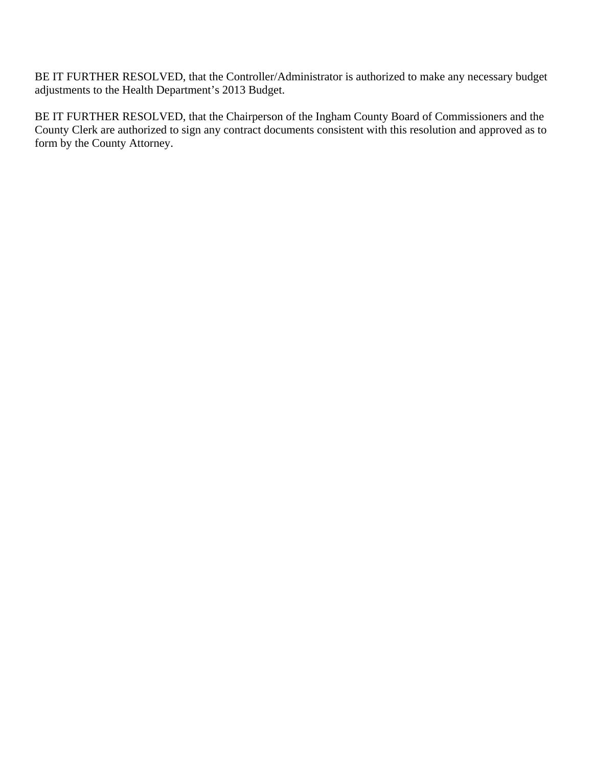BE IT FURTHER RESOLVED, that the Controller/Administrator is authorized to make any necessary budget adjustments to the Health Department's 2013 Budget.

BE IT FURTHER RESOLVED, that the Chairperson of the Ingham County Board of Commissioners and the County Clerk are authorized to sign any contract documents consistent with this resolution and approved as to form by the County Attorney.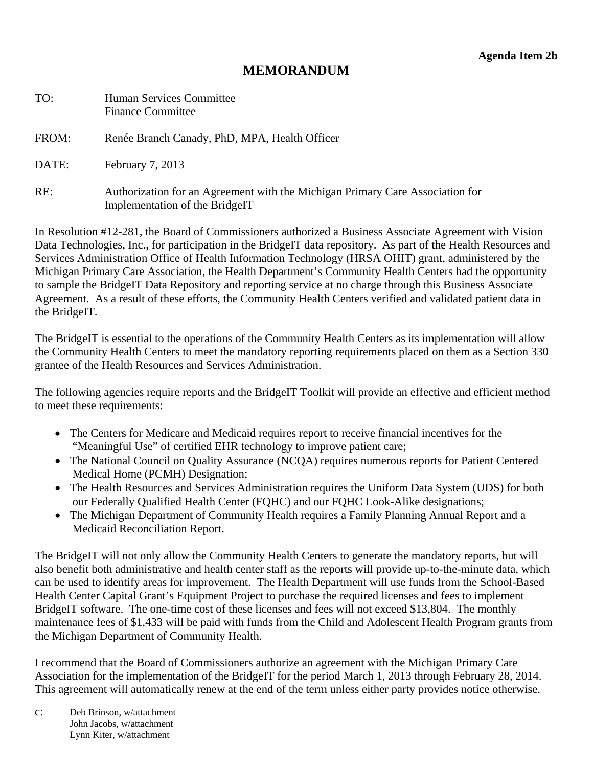# **MEMORANDUM**

<span id="page-11-0"></span>

| TO:   | <b>Human Services Committee</b><br><b>Finance Committee</b>                                                     |
|-------|-----------------------------------------------------------------------------------------------------------------|
| FROM: | Renée Branch Canady, PhD, MPA, Health Officer                                                                   |
| DATE: | February 7, 2013                                                                                                |
| RE:   | Authorization for an Agreement with the Michigan Primary Care Association for<br>Implementation of the BridgeIT |

In Resolution #12-281, the Board of Commissioners authorized a Business Associate Agreement with Vision Data Technologies, Inc., for participation in the BridgeIT data repository. As part of the Health Resources and Services Administration Office of Health Information Technology (HRSA OHIT) grant, administered by the Michigan Primary Care Association, the Health Department's Community Health Centers had the opportunity to sample the BridgeIT Data Repository and reporting service at no charge through this Business Associate Agreement. As a result of these efforts, the Community Health Centers verified and validated patient data in the BridgeIT.

The BridgeIT is essential to the operations of the Community Health Centers as its implementation will allow the Community Health Centers to meet the mandatory reporting requirements placed on them as a Section 330 grantee of the Health Resources and Services Administration.

The following agencies require reports and the BridgeIT Toolkit will provide an effective and efficient method to meet these requirements:

- The Centers for Medicare and Medicaid requires report to receive financial incentives for the "Meaningful Use" of certified EHR technology to improve patient care;
- The National Council on Quality Assurance (NCQA) requires numerous reports for Patient Centered Medical Home (PCMH) Designation;
- The Health Resources and Services Administration requires the Uniform Data System (UDS) for both our Federally Qualified Health Center (FQHC) and our FQHC Look-Alike designations;
- The Michigan Department of Community Health requires a Family Planning Annual Report and a Medicaid Reconciliation Report.

The BridgeIT will not only allow the Community Health Centers to generate the mandatory reports, but will also benefit both administrative and health center staff as the reports will provide up-to-the-minute data, which can be used to identify areas for improvement. The Health Department will use funds from the School-Based Health Center Capital Grant's Equipment Project to purchase the required licenses and fees to implement BridgeIT software. The one-time cost of these licenses and fees will not exceed \$13,804. The monthly maintenance fees of \$1,433 will be paid with funds from the Child and Adolescent Health Program grants from the Michigan Department of Community Health.

I recommend that the Board of Commissioners authorize an agreement with the Michigan Primary Care Association for the implementation of the BridgeIT for the period March 1, 2013 through February 28, 2014. This agreement will automatically renew at the end of the term unless either party provides notice otherwise.

c: Deb Brinson, w/attachment John Jacobs, w/attachment Lynn Kiter, w/attachment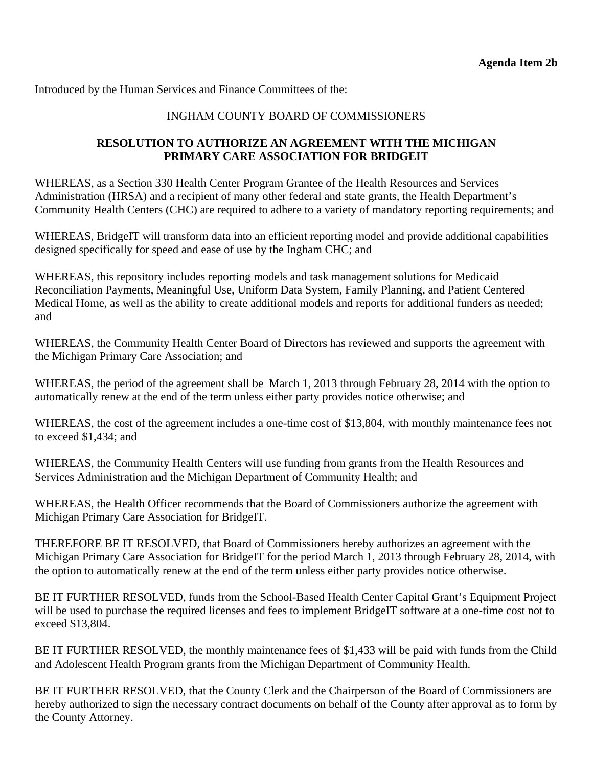Introduced by the Human Services and Finance Committees of the:

### INGHAM COUNTY BOARD OF COMMISSIONERS

## **RESOLUTION TO AUTHORIZE AN AGREEMENT WITH THE MICHIGAN PRIMARY CARE ASSOCIATION FOR BRIDGEIT**

WHEREAS, as a Section 330 Health Center Program Grantee of the Health Resources and Services Administration (HRSA) and a recipient of many other federal and state grants, the Health Department's Community Health Centers (CHC) are required to adhere to a variety of mandatory reporting requirements; and

WHEREAS, BridgeIT will transform data into an efficient reporting model and provide additional capabilities designed specifically for speed and ease of use by the Ingham CHC; and

WHEREAS, this repository includes reporting models and task management solutions for Medicaid Reconciliation Payments, Meaningful Use, Uniform Data System, Family Planning, and Patient Centered Medical Home, as well as the ability to create additional models and reports for additional funders as needed; and

WHEREAS, the Community Health Center Board of Directors has reviewed and supports the agreement with the Michigan Primary Care Association; and

WHEREAS, the period of the agreement shall be March 1, 2013 through February 28, 2014 with the option to automatically renew at the end of the term unless either party provides notice otherwise; and

WHEREAS, the cost of the agreement includes a one-time cost of \$13,804, with monthly maintenance fees not to exceed \$1,434; and

WHEREAS, the Community Health Centers will use funding from grants from the Health Resources and Services Administration and the Michigan Department of Community Health; and

WHEREAS, the Health Officer recommends that the Board of Commissioners authorize the agreement with Michigan Primary Care Association for BridgeIT.

THEREFORE BE IT RESOLVED, that Board of Commissioners hereby authorizes an agreement with the Michigan Primary Care Association for BridgeIT for the period March 1, 2013 through February 28, 2014, with the option to automatically renew at the end of the term unless either party provides notice otherwise.

BE IT FURTHER RESOLVED, funds from the School-Based Health Center Capital Grant's Equipment Project will be used to purchase the required licenses and fees to implement BridgeIT software at a one-time cost not to exceed \$13,804.

BE IT FURTHER RESOLVED, the monthly maintenance fees of \$1,433 will be paid with funds from the Child and Adolescent Health Program grants from the Michigan Department of Community Health.

BE IT FURTHER RESOLVED, that the County Clerk and the Chairperson of the Board of Commissioners are hereby authorized to sign the necessary contract documents on behalf of the County after approval as to form by the County Attorney.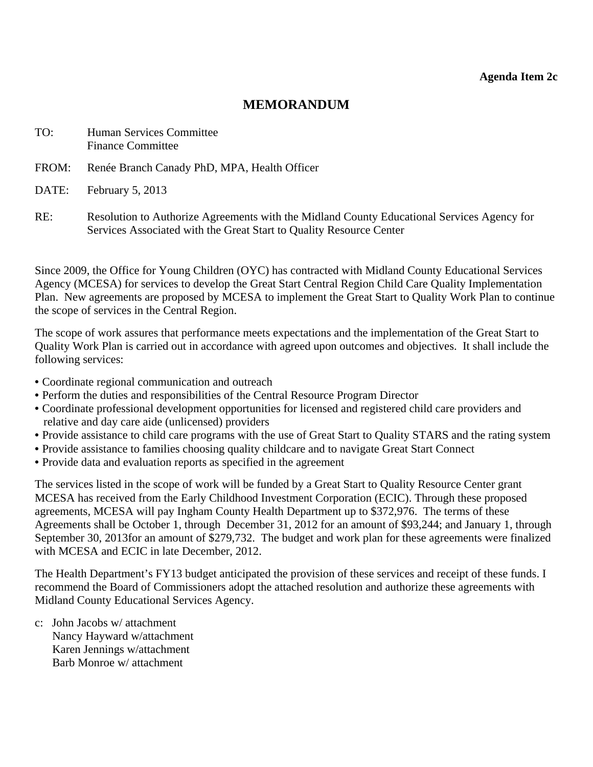# **MEMORANDUM**

<span id="page-13-0"></span>

| TO: | <b>Human Services Committee</b> |
|-----|---------------------------------|
|     | <b>Finance Committee</b>        |

FROM: Renée Branch Canady PhD, MPA, Health Officer

DATE: February 5, 2013

RE: Resolution to Authorize Agreements with the Midland County Educational Services Agency for Services Associated with the Great Start to Quality Resource Center

Since 2009, the Office for Young Children (OYC) has contracted with Midland County Educational Services Agency (MCESA) for services to develop the Great Start Central Region Child Care Quality Implementation Plan. New agreements are proposed by MCESA to implement the Great Start to Quality Work Plan to continue the scope of services in the Central Region.

The scope of work assures that performance meets expectations and the implementation of the Great Start to Quality Work Plan is carried out in accordance with agreed upon outcomes and objectives. It shall include the following services:

- Coordinate regional communication and outreach
- Perform the duties and responsibilities of the Central Resource Program Director
- Coordinate professional development opportunities for licensed and registered child care providers and relative and day care aide (unlicensed) providers
- Provide assistance to child care programs with the use of Great Start to Quality STARS and the rating system
- Provide assistance to families choosing quality childcare and to navigate Great Start Connect
- Provide data and evaluation reports as specified in the agreement

The services listed in the scope of work will be funded by a Great Start to Quality Resource Center grant MCESA has received from the Early Childhood Investment Corporation (ECIC). Through these proposed agreements, MCESA will pay Ingham County Health Department up to \$372,976. The terms of these Agreements shall be October 1, through December 31, 2012 for an amount of \$93,244; and January 1, through September 30, 2013for an amount of \$279,732. The budget and work plan for these agreements were finalized with MCESA and ECIC in late December, 2012.

The Health Department's FY13 budget anticipated the provision of these services and receipt of these funds. I recommend the Board of Commissioners adopt the attached resolution and authorize these agreements with Midland County Educational Services Agency.

c: John Jacobs w/ attachment Nancy Hayward w/attachment Karen Jennings w/attachment Barb Monroe w/ attachment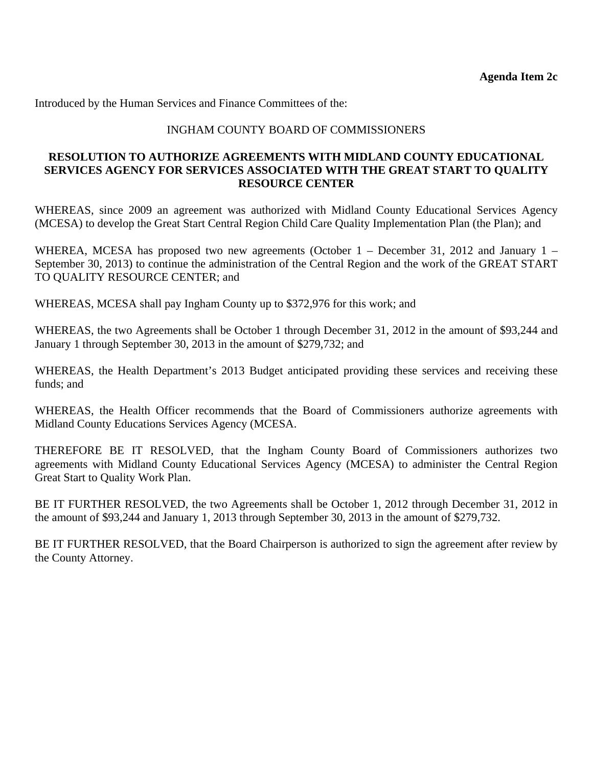Introduced by the Human Services and Finance Committees of the:

### INGHAM COUNTY BOARD OF COMMISSIONERS

### **RESOLUTION TO AUTHORIZE AGREEMENTS WITH MIDLAND COUNTY EDUCATIONAL SERVICES AGENCY FOR SERVICES ASSOCIATED WITH THE GREAT START TO QUALITY RESOURCE CENTER**

WHEREAS, since 2009 an agreement was authorized with Midland County Educational Services Agency (MCESA) to develop the Great Start Central Region Child Care Quality Implementation Plan (the Plan); and

WHEREA, MCESA has proposed two new agreements (October 1 – December 31, 2012 and January 1 – September 30, 2013) to continue the administration of the Central Region and the work of the GREAT START TO QUALITY RESOURCE CENTER; and

WHEREAS, MCESA shall pay Ingham County up to \$372,976 for this work; and

WHEREAS, the two Agreements shall be October 1 through December 31, 2012 in the amount of \$93,244 and January 1 through September 30, 2013 in the amount of \$279,732; and

WHEREAS, the Health Department's 2013 Budget anticipated providing these services and receiving these funds; and

WHEREAS, the Health Officer recommends that the Board of Commissioners authorize agreements with Midland County Educations Services Agency (MCESA.

THEREFORE BE IT RESOLVED, that the Ingham County Board of Commissioners authorizes two agreements with Midland County Educational Services Agency (MCESA) to administer the Central Region Great Start to Quality Work Plan.

BE IT FURTHER RESOLVED, the two Agreements shall be October 1, 2012 through December 31, 2012 in the amount of \$93,244 and January 1, 2013 through September 30, 2013 in the amount of \$279,732.

BE IT FURTHER RESOLVED, that the Board Chairperson is authorized to sign the agreement after review by the County Attorney.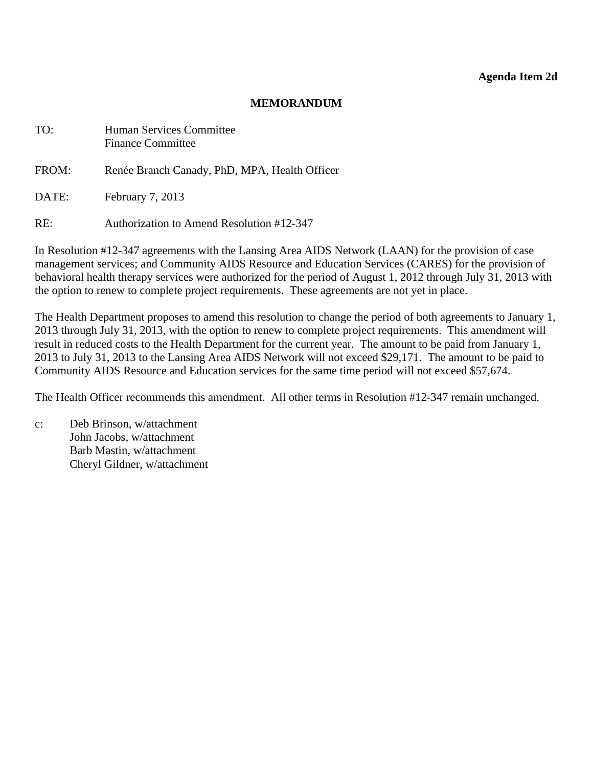### **Agenda Item 2d**

### **MEMORANDUM**

<span id="page-15-0"></span>

| TO:   | Human Services Committee<br><b>Finance Committee</b> |
|-------|------------------------------------------------------|
| FROM: | Renée Branch Canady, PhD, MPA, Health Officer        |
| DATE: | February 7, 2013                                     |
| RE:   | Authorization to Amend Resolution #12-347            |

In Resolution #12-347 agreements with the Lansing Area AIDS Network (LAAN) for the provision of case management services; and Community AIDS Resource and Education Services (CARES) for the provision of behavioral health therapy services were authorized for the period of August 1, 2012 through July 31, 2013 with the option to renew to complete project requirements. These agreements are not yet in place.

The Health Department proposes to amend this resolution to change the period of both agreements to January 1, 2013 through July 31, 2013, with the option to renew to complete project requirements. This amendment will result in reduced costs to the Health Department for the current year. The amount to be paid from January 1, 2013 to July 31, 2013 to the Lansing Area AIDS Network will not exceed \$29,171. The amount to be paid to Community AIDS Resource and Education services for the same time period will not exceed \$57,674.

The Health Officer recommends this amendment. All other terms in Resolution #12-347 remain unchanged.

c: Deb Brinson, w/attachment John Jacobs, w/attachment Barb Mastin, w/attachment Cheryl Gildner, w/attachment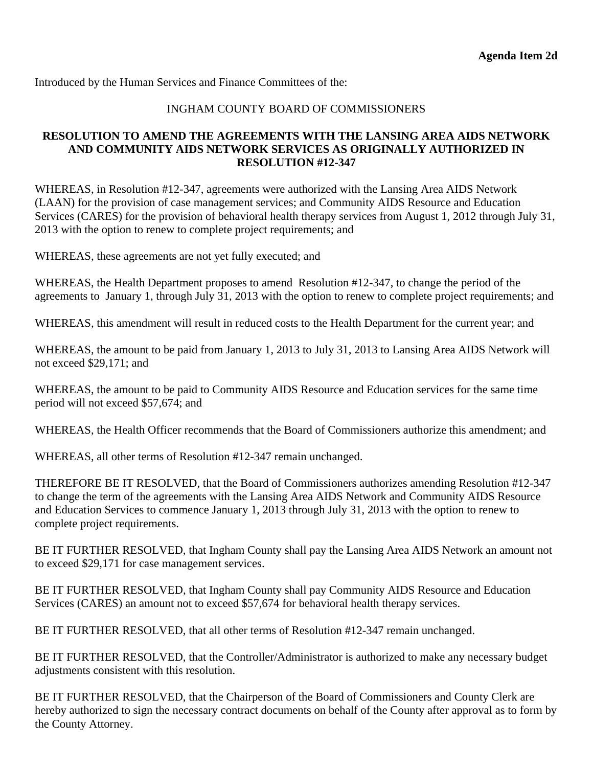Introduced by the Human Services and Finance Committees of the:

### INGHAM COUNTY BOARD OF COMMISSIONERS

# **RESOLUTION TO AMEND THE AGREEMENTS WITH THE LANSING AREA AIDS NETWORK AND COMMUNITY AIDS NETWORK SERVICES AS ORIGINALLY AUTHORIZED IN RESOLUTION #12-347**

WHEREAS, in Resolution #12-347, agreements were authorized with the Lansing Area AIDS Network (LAAN) for the provision of case management services; and Community AIDS Resource and Education Services (CARES) for the provision of behavioral health therapy services from August 1, 2012 through July 31, 2013 with the option to renew to complete project requirements; and

WHEREAS, these agreements are not yet fully executed; and

WHEREAS, the Health Department proposes to amend Resolution #12-347, to change the period of the agreements to January 1, through July 31, 2013 with the option to renew to complete project requirements; and

WHEREAS, this amendment will result in reduced costs to the Health Department for the current year; and

WHEREAS, the amount to be paid from January 1, 2013 to July 31, 2013 to Lansing Area AIDS Network will not exceed \$29,171; and

WHEREAS, the amount to be paid to Community AIDS Resource and Education services for the same time period will not exceed \$57,674; and

WHEREAS, the Health Officer recommends that the Board of Commissioners authorize this amendment; and

WHEREAS, all other terms of Resolution #12-347 remain unchanged.

THEREFORE BE IT RESOLVED, that the Board of Commissioners authorizes amending Resolution #12-347 to change the term of the agreements with the Lansing Area AIDS Network and Community AIDS Resource and Education Services to commence January 1, 2013 through July 31, 2013 with the option to renew to complete project requirements.

BE IT FURTHER RESOLVED, that Ingham County shall pay the Lansing Area AIDS Network an amount not to exceed \$29,171 for case management services.

BE IT FURTHER RESOLVED, that Ingham County shall pay Community AIDS Resource and Education Services (CARES) an amount not to exceed \$57,674 for behavioral health therapy services.

BE IT FURTHER RESOLVED, that all other terms of Resolution #12-347 remain unchanged.

BE IT FURTHER RESOLVED, that the Controller/Administrator is authorized to make any necessary budget adjustments consistent with this resolution.

BE IT FURTHER RESOLVED, that the Chairperson of the Board of Commissioners and County Clerk are hereby authorized to sign the necessary contract documents on behalf of the County after approval as to form by the County Attorney.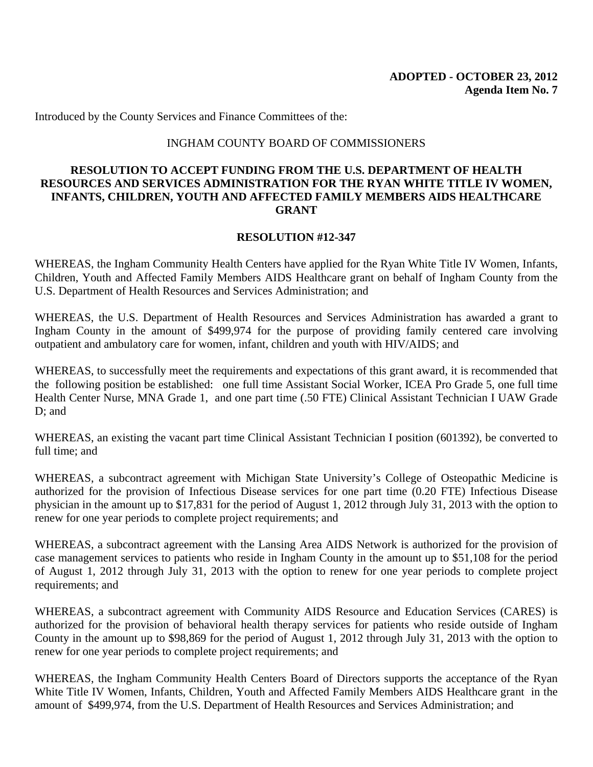Introduced by the County Services and Finance Committees of the:

### INGHAM COUNTY BOARD OF COMMISSIONERS

### **RESOLUTION TO ACCEPT FUNDING FROM THE U.S. DEPARTMENT OF HEALTH RESOURCES AND SERVICES ADMINISTRATION FOR THE RYAN WHITE TITLE IV WOMEN, INFANTS, CHILDREN, YOUTH AND AFFECTED FAMILY MEMBERS AIDS HEALTHCARE GRANT**

### **RESOLUTION #12-347**

WHEREAS, the Ingham Community Health Centers have applied for the Ryan White Title IV Women, Infants, Children, Youth and Affected Family Members AIDS Healthcare grant on behalf of Ingham County from the U.S. Department of Health Resources and Services Administration; and

WHEREAS, the U.S. Department of Health Resources and Services Administration has awarded a grant to Ingham County in the amount of \$499,974 for the purpose of providing family centered care involving outpatient and ambulatory care for women, infant, children and youth with HIV/AIDS; and

WHEREAS, to successfully meet the requirements and expectations of this grant award, it is recommended that the following position be established: one full time Assistant Social Worker, ICEA Pro Grade 5, one full time Health Center Nurse, MNA Grade 1, and one part time (.50 FTE) Clinical Assistant Technician I UAW Grade D; and

WHEREAS, an existing the vacant part time Clinical Assistant Technician I position (601392), be converted to full time; and

WHEREAS, a subcontract agreement with Michigan State University's College of Osteopathic Medicine is authorized for the provision of Infectious Disease services for one part time (0.20 FTE) Infectious Disease physician in the amount up to \$17,831 for the period of August 1, 2012 through July 31, 2013 with the option to renew for one year periods to complete project requirements; and

WHEREAS, a subcontract agreement with the Lansing Area AIDS Network is authorized for the provision of case management services to patients who reside in Ingham County in the amount up to \$51,108 for the period of August 1, 2012 through July 31, 2013 with the option to renew for one year periods to complete project requirements; and

WHEREAS, a subcontract agreement with Community AIDS Resource and Education Services (CARES) is authorized for the provision of behavioral health therapy services for patients who reside outside of Ingham County in the amount up to \$98,869 for the period of August 1, 2012 through July 31, 2013 with the option to renew for one year periods to complete project requirements; and

WHEREAS, the Ingham Community Health Centers Board of Directors supports the acceptance of the Ryan White Title IV Women, Infants, Children, Youth and Affected Family Members AIDS Healthcare grant in the amount of \$499,974, from the U.S. Department of Health Resources and Services Administration; and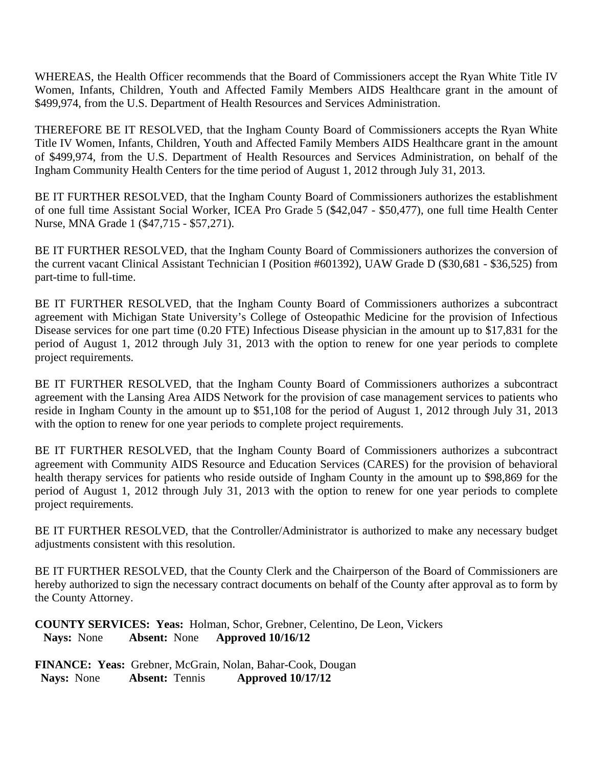WHEREAS, the Health Officer recommends that the Board of Commissioners accept the Ryan White Title IV Women, Infants, Children, Youth and Affected Family Members AIDS Healthcare grant in the amount of \$499,974, from the U.S. Department of Health Resources and Services Administration.

THEREFORE BE IT RESOLVED, that the Ingham County Board of Commissioners accepts the Ryan White Title IV Women, Infants, Children, Youth and Affected Family Members AIDS Healthcare grant in the amount of \$499,974, from the U.S. Department of Health Resources and Services Administration, on behalf of the Ingham Community Health Centers for the time period of August 1, 2012 through July 31, 2013.

BE IT FURTHER RESOLVED, that the Ingham County Board of Commissioners authorizes the establishment of one full time Assistant Social Worker, ICEA Pro Grade 5 (\$42,047 - \$50,477), one full time Health Center Nurse, MNA Grade 1 (\$47,715 - \$57,271).

BE IT FURTHER RESOLVED, that the Ingham County Board of Commissioners authorizes the conversion of the current vacant Clinical Assistant Technician I (Position #601392), UAW Grade D (\$30,681 - \$36,525) from part-time to full-time.

BE IT FURTHER RESOLVED, that the Ingham County Board of Commissioners authorizes a subcontract agreement with Michigan State University's College of Osteopathic Medicine for the provision of Infectious Disease services for one part time (0.20 FTE) Infectious Disease physician in the amount up to \$17,831 for the period of August 1, 2012 through July 31, 2013 with the option to renew for one year periods to complete project requirements.

BE IT FURTHER RESOLVED, that the Ingham County Board of Commissioners authorizes a subcontract agreement with the Lansing Area AIDS Network for the provision of case management services to patients who reside in Ingham County in the amount up to \$51,108 for the period of August 1, 2012 through July 31, 2013 with the option to renew for one year periods to complete project requirements.

BE IT FURTHER RESOLVED, that the Ingham County Board of Commissioners authorizes a subcontract agreement with Community AIDS Resource and Education Services (CARES) for the provision of behavioral health therapy services for patients who reside outside of Ingham County in the amount up to \$98,869 for the period of August 1, 2012 through July 31, 2013 with the option to renew for one year periods to complete project requirements.

BE IT FURTHER RESOLVED, that the Controller/Administrator is authorized to make any necessary budget adjustments consistent with this resolution.

BE IT FURTHER RESOLVED, that the County Clerk and the Chairperson of the Board of Commissioners are hereby authorized to sign the necessary contract documents on behalf of the County after approval as to form by the County Attorney.

**COUNTY SERVICES: Yeas:** Holman, Schor, Grebner, Celentino, De Leon, Vickers **Nays:** None **Absent:** None **Approved 10/16/12** 

**FINANCE: Yeas:** Grebner, McGrain, Nolan, Bahar-Cook, Dougan  **Nays:** None **Absent:** Tennis **Approved 10/17/12**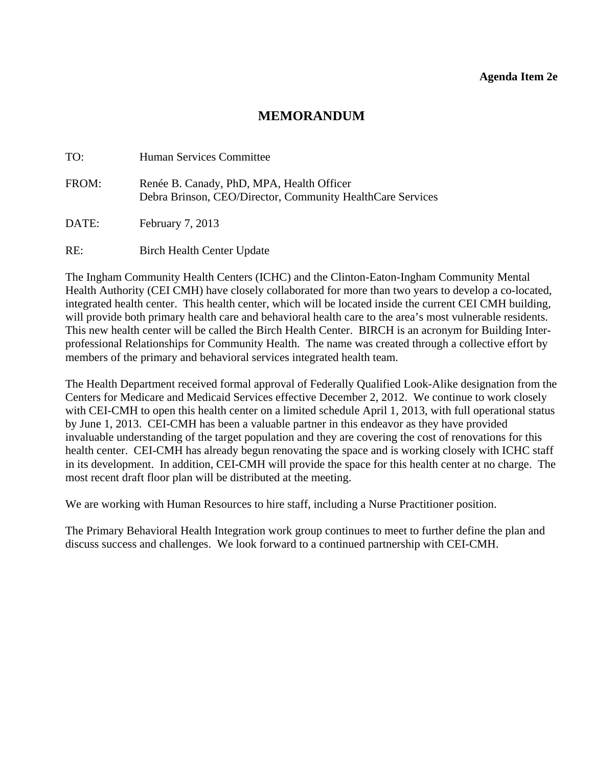### **Agenda Item 2e**

# **MEMORANDUM**

<span id="page-19-0"></span>

| TO:   | <b>Human Services Committee</b>                                                                         |
|-------|---------------------------------------------------------------------------------------------------------|
| FROM: | Renée B. Canady, PhD, MPA, Health Officer<br>Debra Brinson, CEO/Director, Community HealthCare Services |
| DATE: | February 7, 2013                                                                                        |
| RE:   | <b>Birch Health Center Update</b>                                                                       |

The Ingham Community Health Centers (ICHC) and the Clinton-Eaton-Ingham Community Mental Health Authority (CEI CMH) have closely collaborated for more than two years to develop a co-located, integrated health center. This health center, which will be located inside the current CEI CMH building, will provide both primary health care and behavioral health care to the area's most vulnerable residents. This new health center will be called the Birch Health Center. BIRCH is an acronym for Building Interprofessional Relationships for Community Health. The name was created through a collective effort by members of the primary and behavioral services integrated health team.

The Health Department received formal approval of Federally Qualified Look-Alike designation from the Centers for Medicare and Medicaid Services effective December 2, 2012. We continue to work closely with CEI-CMH to open this health center on a limited schedule April 1, 2013, with full operational status by June 1, 2013. CEI-CMH has been a valuable partner in this endeavor as they have provided invaluable understanding of the target population and they are covering the cost of renovations for this health center. CEI-CMH has already begun renovating the space and is working closely with ICHC staff in its development. In addition, CEI-CMH will provide the space for this health center at no charge. The most recent draft floor plan will be distributed at the meeting.

We are working with Human Resources to hire staff, including a Nurse Practitioner position.

The Primary Behavioral Health Integration work group continues to meet to further define the plan and discuss success and challenges. We look forward to a continued partnership with CEI-CMH.